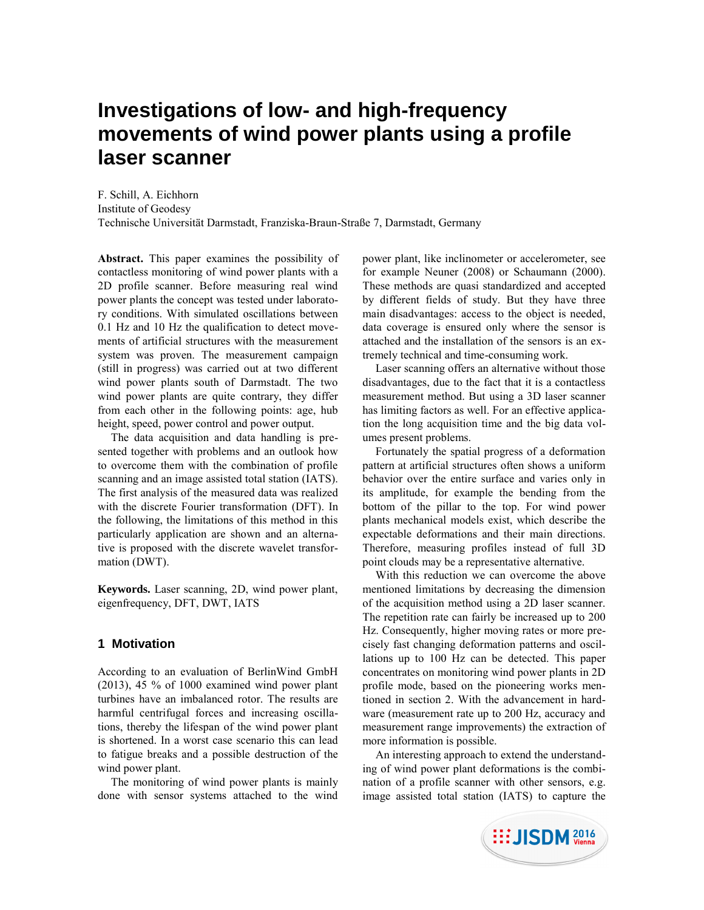# **Investigations of low- and high-frequency movements of wind power plants using a profile laser scanner**

F. Schill, A. Eichhorn Institute of Geodesy Technische Universität Darmstadt, Franziska-Braun-Straße 7, Darmstadt, Germany

**Abstract.** This paper examines the possibility of contactless monitoring of wind power plants with a 2D profile scanner. Before measuring real wind power plants the concept was tested under laboratory conditions. With simulated oscillations between 0.1 Hz and 10 Hz the qualification to detect movements of artificial structures with the measurement system was proven. The measurement campaign (still in progress) was carried out at two different wind power plants south of Darmstadt. The two wind power plants are quite contrary, they differ from each other in the following points: age, hub height, speed, power control and power output.

The data acquisition and data handling is presented together with problems and an outlook how to overcome them with the combination of profile scanning and an image assisted total station (IATS). The first analysis of the measured data was realized with the discrete Fourier transformation (DFT). In the following, the limitations of this method in this particularly application are shown and an alternative is proposed with the discrete wavelet transformation (DWT).

**Keywords.** Laser scanning, 2D, wind power plant, eigenfrequency, DFT, DWT, IATS

# **1 Motivation**

According to an evaluation of BerlinWind GmbH (2013), 45 % of 1000 examined wind power plant turbines have an imbalanced rotor. The results are harmful centrifugal forces and increasing oscillations, thereby the lifespan of the wind power plant is shortened. In a worst case scenario this can lead to fatigue breaks and a possible destruction of the wind power plant.

The monitoring of wind power plants is mainly done with sensor systems attached to the wind

power plant, like inclinometer or accelerometer, see for example Neuner (2008) or Schaumann (2000). These methods are quasi standardized and accepted by different fields of study. But they have three main disadvantages: access to the object is needed, data coverage is ensured only where the sensor is attached and the installation of the sensors is an extremely technical and time-consuming work.

Laser scanning offers an alternative without those disadvantages, due to the fact that it is a contactless measurement method. But using a 3D laser scanner has limiting factors as well. For an effective application the long acquisition time and the big data volumes present problems.

Fortunately the spatial progress of a deformation pattern at artificial structures often shows a uniform behavior over the entire surface and varies only in its amplitude, for example the bending from the bottom of the pillar to the top. For wind power plants mechanical models exist, which describe the expectable deformations and their main directions. Therefore, measuring profiles instead of full 3D point clouds may be a representative alternative.

With this reduction we can overcome the above mentioned limitations by decreasing the dimension of the acquisition method using a 2D laser scanner. The repetition rate can fairly be increased up to 200 Hz. Consequently, higher moving rates or more precisely fast changing deformation patterns and oscillations up to 100 Hz can be detected. This paper concentrates on monitoring wind power plants in 2D profile mode, based on the pioneering works mentioned in section 2. With the advancement in hardware (measurement rate up to 200 Hz, accuracy and measurement range improvements) the extraction of more information is possible.

An interesting approach to extend the understanding of wind power plant deformations is the combination of a profile scanner with other sensors, e.g. image assisted total station (IATS) to capture the

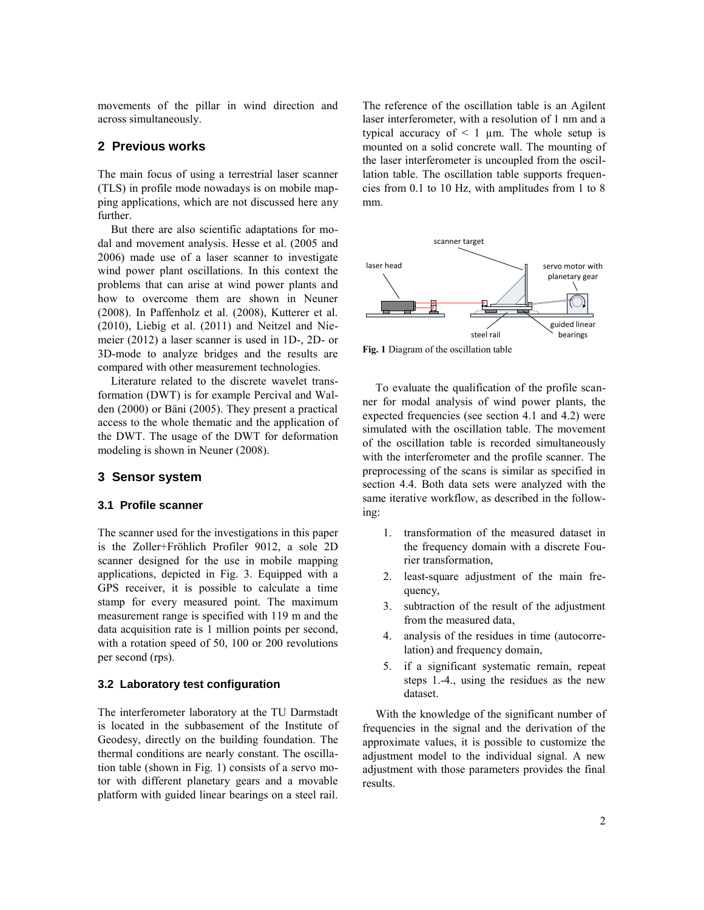movements of the pillar in wind direction and across simultaneously.

# **2 Previous works**

The main focus of using a terrestrial laser scanner (TLS) in profile mode nowadays is on mobile mapping applications, which are not discussed here any further.

But there are also scientific adaptations for modal and movement analysis. Hesse et al. (2005 and 2006) made use of a laser scanner to investigate wind power plant oscillations. In this context the problems that can arise at wind power plants and how to overcome them are shown in Neuner (2008). In Paffenholz et al. (2008), Kutterer et al. (2010), Liebig et al. (2011) and Neitzel and Niemeier (2012) a laser scanner is used in 1D-, 2D- or 3D-mode to analyze bridges and the results are compared with other measurement technologies.

Literature related to the discrete wavelet transformation (DWT) is for example Percival and Walden (2000) or Bäni (2005). They present a practical access to the whole thematic and the application of the DWT. The usage of the DWT for deformation modeling is shown in Neuner (2008).

## **3 Sensor system**

#### **3.1 Profile scanner**

The scanner used for the investigations in this paper is the Zoller+Fröhlich Profiler 9012, a sole 2D scanner designed for the use in mobile mapping applications, depicted in Fig. 3. Equipped with a GPS receiver, it is possible to calculate a time stamp for every measured point. The maximum measurement range is specified with 119 m and the data acquisition rate is 1 million points per second, with a rotation speed of 50, 100 or 200 revolutions per second (rps).

#### **3.2 Laboratory test configuration**

The interferometer laboratory at the TU Darmstadt is located in the subbasement of the Institute of Geodesy, directly on the building foundation. The thermal conditions are nearly constant. The oscillation table (shown in Fig. 1) consists of a servo motor with different planetary gears and a movable platform with guided linear bearings on a steel rail.

The reference of the oscillation table is an Agilent laser interferometer, with a resolution of 1 nm and a typical accuracy of  $\leq 1$  µm. The whole setup is mounted on a solid concrete wall. The mounting of the laser interferometer is uncoupled from the oscillation table. The oscillation table supports frequencies from 0.1 to 10 Hz, with amplitudes from 1 to 8 mm.



**Fig. 1** Diagram of the oscillation table

To evaluate the qualification of the profile scanner for modal analysis of wind power plants, the expected frequencies (see section 4.1 and 4.2) were simulated with the oscillation table. The movement of the oscillation table is recorded simultaneously with the interferometer and the profile scanner. The preprocessing of the scans is similar as specified in section 4.4. Both data sets were analyzed with the same iterative workflow, as described in the following:

- 1. transformation of the measured dataset in the frequency domain with a discrete Fourier transformation,
- 2. least-square adjustment of the main frequency,
- 3. subtraction of the result of the adjustment from the measured data,
- 4. analysis of the residues in time (autocorrelation) and frequency domain,
- 5. if a significant systematic remain, repeat steps 1.-4., using the residues as the new dataset.

With the knowledge of the significant number of frequencies in the signal and the derivation of the approximate values, it is possible to customize the adjustment model to the individual signal. A new adjustment with those parameters provides the final results.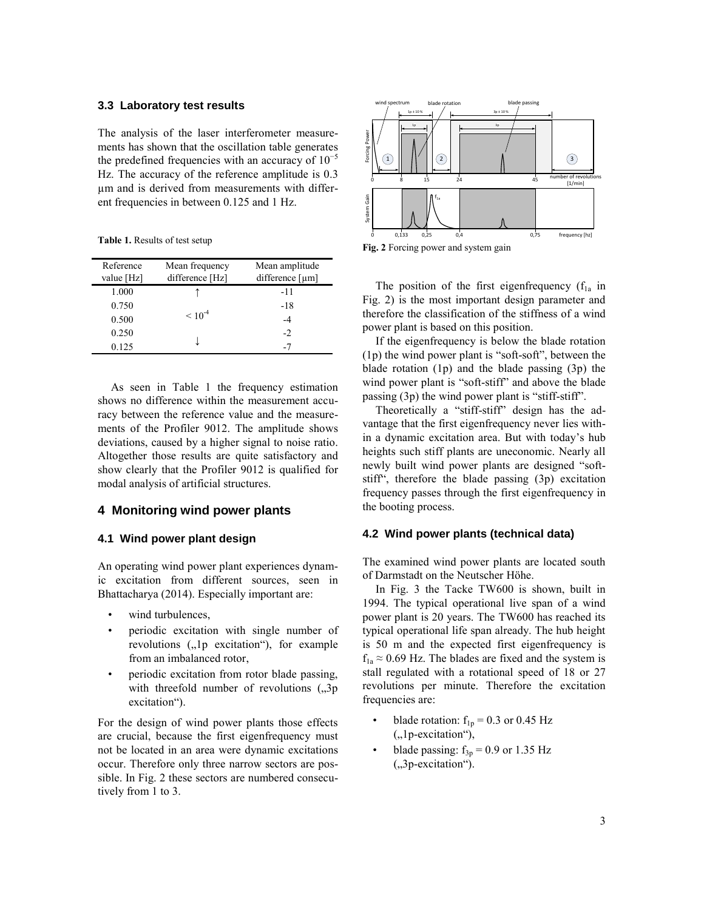#### **3.3 Laboratory test results**

The analysis of the laser interferometer measurements has shown that the oscillation table generates the predefined frequencies with an accuracy of  $10^{-5}$ Hz. The accuracy of the reference amplitude is 0.3 µm and is derived from measurements with different frequencies in between 0.125 and 1 Hz.

**Table 1.** Results of test setup

| Reference<br>value [Hz] | Mean frequency<br>difference [Hz] | Mean amplitude<br>difference $\lceil \mu m \rceil$ |
|-------------------------|-----------------------------------|----------------------------------------------------|
| 1.000                   |                                   | $-11$                                              |
| 0.750                   |                                   | $-18$                                              |
| 0.500                   | $\leq 10^{-4}$                    | $-4$                                               |
| 0.250                   |                                   | $-2$                                               |
| 0.125                   |                                   | -7                                                 |

As seen in Table 1 the frequency estimation shows no difference within the measurement accuracy between the reference value and the measurements of the Profiler 9012. The amplitude shows deviations, caused by a higher signal to noise ratio. Altogether those results are quite satisfactory and show clearly that the Profiler 9012 is qualified for modal analysis of artificial structures.

# **4 Monitoring wind power plants**

#### **4.1 Wind power plant design**

An operating wind power plant experiences dynamic excitation from different sources, seen in Bhattacharya (2014). Especially important are:

- wind turbulences,
- periodic excitation with single number of revolutions  $($ , 1p excitation $)$ , for example from an imbalanced rotor,
- periodic excitation from rotor blade passing, with threefold number of revolutions  $(0,3p)$ excitation").

For the design of wind power plants those effects are crucial, because the first eigenfrequency must not be located in an area were dynamic excitations occur. Therefore only three narrow sectors are possible. In Fig. 2 these sectors are numbered consecutively from 1 to 3.



**Fig. 2** Forcing power and system gain

The position of the first eigenfrequency  $(f_{1a}$  in Fig. 2) is the most important design parameter and therefore the classification of the stiffness of a wind power plant is based on this position.

If the eigenfrequency is below the blade rotation (1p) the wind power plant is "soft-soft", between the blade rotation (1p) and the blade passing (3p) the wind power plant is "soft-stiff" and above the blade passing (3p) the wind power plant is "stiff-stiff".

Theoretically a "stiff-stiff" design has the advantage that the first eigenfrequency never lies within a dynamic excitation area. But with today's hub heights such stiff plants are uneconomic. Nearly all newly built wind power plants are designed "softstiff", therefore the blade passing (3p) excitation frequency passes through the first eigenfrequency in the booting process.

#### **4.2 Wind power plants (technical data)**

The examined wind power plants are located south of Darmstadt on the Neutscher Höhe.

In Fig. 3 the Tacke TW600 is shown, built in 1994. The typical operational live span of a wind power plant is 20 years. The TW600 has reached its typical operational life span already. The hub height is 50 m and the expected first eigenfrequency is  $f_{1a} \approx 0.69$  Hz. The blades are fixed and the system is stall regulated with a rotational speed of 18 or 27 revolutions per minute. Therefore the excitation frequencies are:

- blade rotation:  $f_{1p} = 0.3$  or 0.45 Hz  $($ "1p-excitation"),
- blade passing:  $f_{3p} = 0.9$  or 1.35 Hz ("3p-excitation").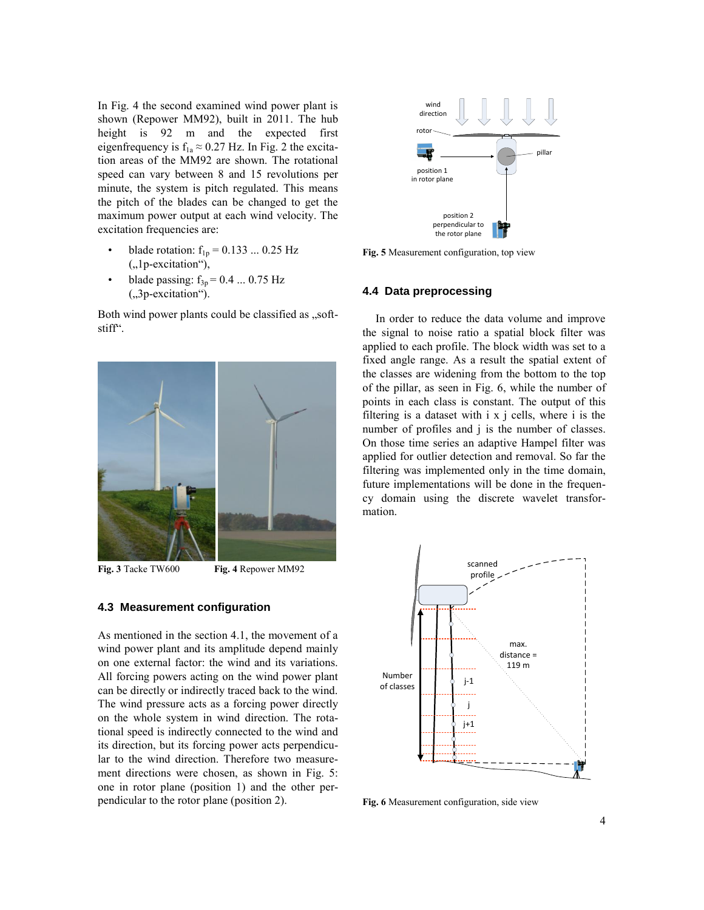In Fig. 4 the second examined wind power plant is  $\frac{1}{2}$  wind shown (Repower MM92), built in 2011. The hub height is 92 m and the expected first eigenfrequency is  $f_{1a} \approx 0.27$  Hz. In Fig. 2 the excitation areas of the MM92 are shown. The rotational speed can vary between 8 and 15 revolutions per minute, the system is pitch regulated. This means the pitch of the blades can be changed to get the maximum power output at each wind velocity. The excitation frequencies are:

- blade rotation:  $f_{1p} = 0.133 ... 0.25$  Hz ("1p-excitation"),
- blade passing:  $f_{3p} = 0.4$  ... 0.75 Hz  $(.,3p-excitation")$ .

Both wind power plants could be classified as "softstiff".



**Fig. 3** Tacke TW600 **Fig. 4** Repower MM92

## **4.3 Measurement configuration**

As mentioned in the section 4.1, the movement of a wind power plant and its amplitude depend mainly on one external factor: the wind and its variations. All forcing powers acting on the wind power plant can be directly or indirectly traced back to the wind. The wind pressure acts as a forcing power directly on the whole system in wind direction. The rotational speed is indirectly connected to the wind and its direction, but its forcing power acts perpendicular to the wind direction. Therefore two measurement directions were chosen, as shown in Fig. 5: one in rotor plane (position 1) and the other perpendicular to the rotor plane (position 2).



**Fig. 5** Measurement configuration, top view

## **4.4 Data preprocessing**

In order to reduce the data volume and improve the signal to noise ratio a spatial block filter was applied to each profile. The block width was set to a fixed angle range. As a result the spatial extent of the classes are widening from the bottom to the top of the pillar, as seen in Fig. 6, while the number of points in each class is constant. The output of this filtering is a dataset with i x j cells, where i is the number of profiles and j is the number of classes. On those time series an adaptive Hampel filter was applied for outlier detection and removal. So far the filtering was implemented only in the time domain, future implementations will be done in the frequency domain using the discrete wavelet transformation.



**Fig. 6** Measurement configuration, side view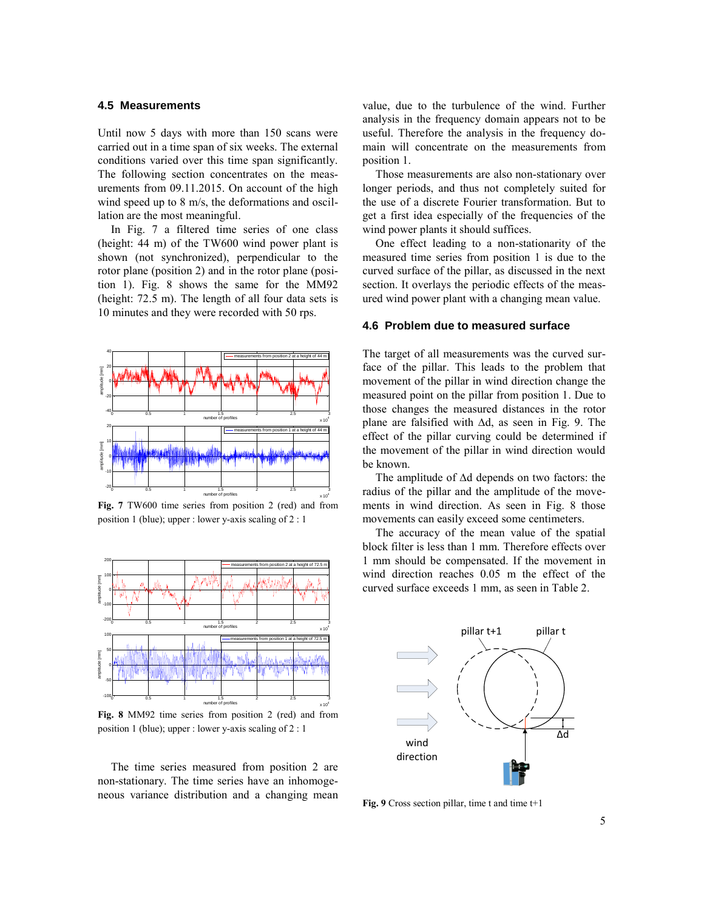#### **4.5 Measurements**

Until now 5 days with more than 150 scans were carried out in a time span of six weeks. The external conditions varied over this time span significantly. The following section concentrates on the measurements from 09.11.2015. On account of the high wind speed up to 8 m/s, the deformations and oscillation are the most meaningful.

In Fig. 7 a filtered time series of one class (height: 44 m) of the TW600 wind power plant is shown (not synchronized), perpendicular to the rotor plane (position 2) and in the rotor plane (position 1). Fig. 8 shows the same for the MM92 (height: 72.5 m). The length of all four data sets is 10 minutes and they were recorded with 50 rps.



**Fig. 7** TW600 time series from position 2 (red) and from position 1 (blue); upper : lower y-axis scaling of 2 : 1



**Fig. 8** MM92 time series from position 2 (red) and from position 1 (blue); upper : lower y-axis scaling of 2 : 1

The time series measured from position 2 are non-stationary. The time series have an inhomogeneous variance distribution and a changing mean value, due to the turbulence of the wind. Further analysis in the frequency domain appears not to be useful. Therefore the analysis in the frequency domain will concentrate on the measurements from position 1.

Those measurements are also non-stationary over longer periods, and thus not completely suited for the use of a discrete Fourier transformation. But to get a first idea especially of the frequencies of the wind power plants it should suffices.

One effect leading to a non-stationarity of the measured time series from position 1 is due to the curved surface of the pillar, as discussed in the next section. It overlays the periodic effects of the measured wind power plant with a changing mean value.

#### **4.6 Problem due to measured surface**

The target of all measurements was the curved surface of the pillar. This leads to the problem that movement of the pillar in wind direction change the measured point on the pillar from position 1. Due to those changes the measured distances in the rotor plane are falsified with ∆d, as seen in Fig. 9. The effect of the pillar curving could be determined if the movement of the pillar in wind direction would be known.

The amplitude of ∆d depends on two factors: the radius of the pillar and the amplitude of the movements in wind direction. As seen in Fig. 8 those movements can easily exceed some centimeters.

The accuracy of the mean value of the spatial block filter is less than 1 mm. Therefore effects over 1 mm should be compensated. If the movement in wind direction reaches 0.05 m the effect of the curved surface exceeds 1 mm, as seen in Table 2.



Fig. 9 Cross section pillar, time t and time t+1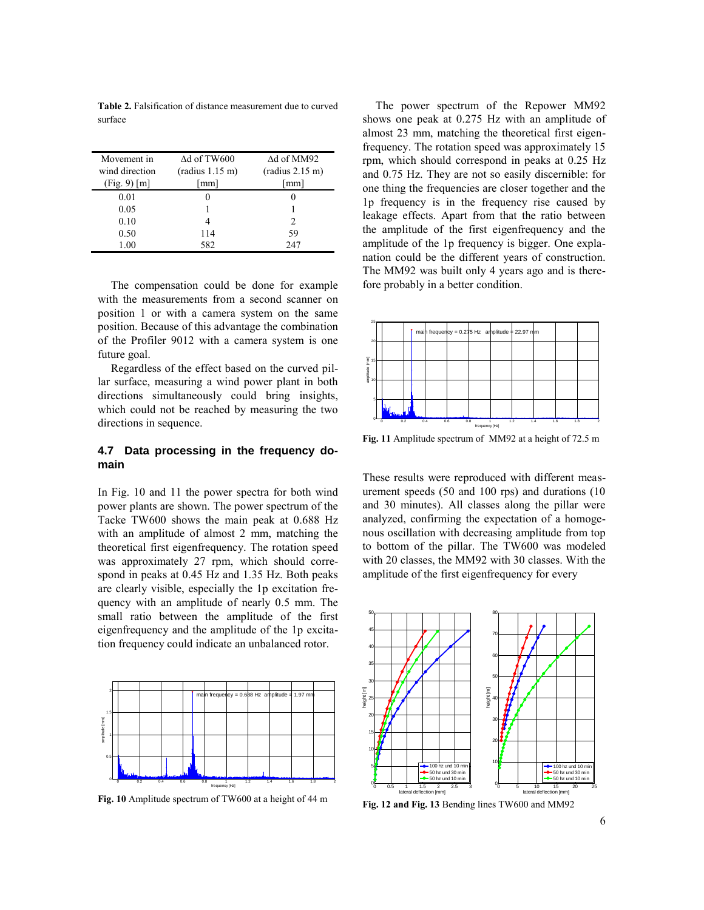**Table 2.** Falsification of distance measurement due to curved surface

| Movement in    | $\Delta d$ of TW600 | $\Delta d$ of MM92 |
|----------------|---------------------|--------------------|
| wind direction | (radius 1.15 m)     | (radius 2.15 m)    |
| (Fig. 9) [m]   | [mm]                | [mm]               |
| 0.01           |                     |                    |
| 0.05           |                     |                    |
| 0.10           |                     | $\mathfrak{D}$     |
| 0.50           | 114                 | 59                 |
| 1.00           | 582                 | 247                |

The compensation could be done for example with the measurements from a second scanner on position 1 or with a camera system on the same position. Because of this advantage the combination of the Profiler 9012 with a camera system is one future goal.

Regardless of the effect based on the curved pillar surface, measuring a wind power plant in both directions simultaneously could bring insights, which could not be reached by measuring the two directions in sequence.

## **4.7 Data processing in the frequency domain**

In Fig. 10 and 11 the power spectra for both wind power plants are shown. The power spectrum of the Tacke TW600 shows the main peak at 0.688 Hz with an amplitude of almost 2 mm, matching the theoretical first eigenfrequency. The rotation speed was approximately 27 rpm, which should correspond in peaks at 0.45 Hz and 1.35 Hz. Both peaks are clearly visible, especially the 1p excitation frequency with an amplitude of nearly 0.5 mm. The small ratio between the amplitude of the first eigenfrequency and the amplitude of the 1p excitation frequency could indicate an unbalanced rotor.<br>



**Fig. 10** Amplitude spectrum of TW600 at a height of 44 m

The power spectrum of the Repower MM92 shows one peak at 0.275 Hz with an amplitude of almost 23 mm, matching the theoretical first eigenfrequency. The rotation speed was approximately 15 rpm, which should correspond in peaks at 0.25 Hz and 0.75 Hz. They are not so easily discernible: for one thing the frequencies are closer together and the 1p frequency is in the frequency rise caused by leakage effects. Apart from that the ratio between the amplitude of the first eigenfrequency and the amplitude of the 1p frequency is bigger. One explanation could be the different years of construction. The MM92 was built only 4 years ago and is therefore probably in a better condition. Message and the American Conditions.



**Fig. 11** Amplitude spectrum of MM92 at a height of 72.5 m

These results were reproduced with different measurement speeds (50 and 100 rps) and durations (10 and 30 minutes). All classes along the pillar were analyzed, confirming the expectation of a homogenous oscillation with decreasing amplitude from top to bottom of the pillar. The TW600 was modeled with 20 classes, the MM92 with 30 classes. With the amplitude of the first eigenfrequency for every



**Fig. 12 and Fig. 13** Bending lines TW600 and MM92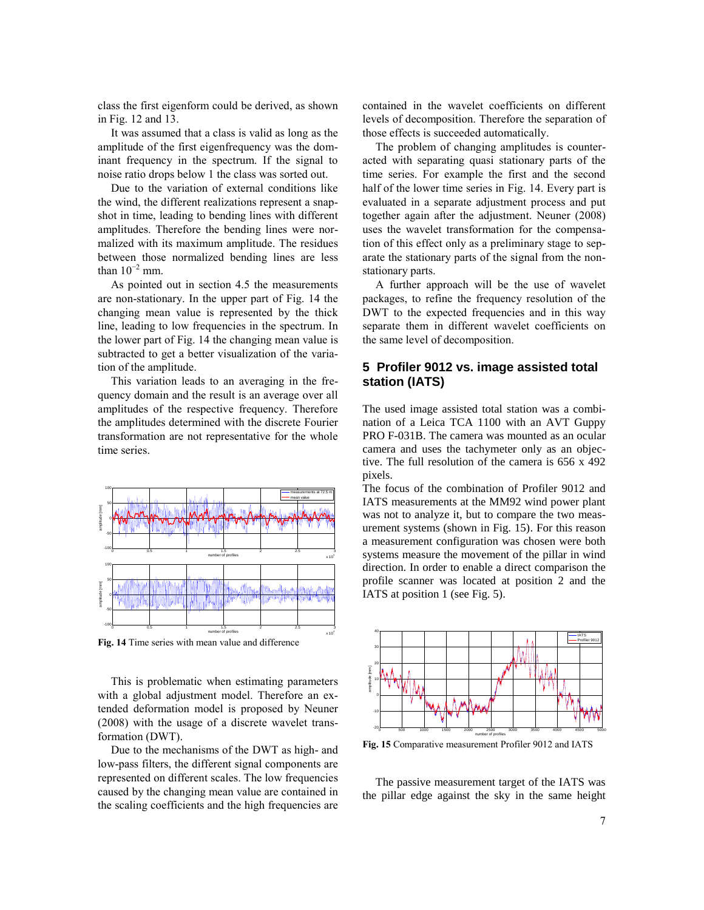class the first eigenform could be derived, as shown in Fig. 12 and 13.

It was assumed that a class is valid as long as the amplitude of the first eigenfrequency was the dominant frequency in the spectrum. If the signal to noise ratio drops below 1 the class was sorted out.

Due to the variation of external conditions like the wind, the different realizations represent a snapshot in time, leading to bending lines with different amplitudes. Therefore the bending lines were normalized with its maximum amplitude. The residues between those normalized bending lines are less than  $10^{-2}$  mm.

As pointed out in section 4.5 the measurements are non-stationary. In the upper part of Fig. 14 the changing mean value is represented by the thick line, leading to low frequencies in the spectrum. In the lower part of Fig. 14 the changing mean value is subtracted to get a better visualization of the variation of the amplitude.

This variation leads to an averaging in the frequency domain and the result is an average over all amplitudes of the respective frequency. Therefore the amplitudes determined with the discrete Fourier transformation are not representative for the whole time series.



**Fig. 14** Time series with mean value and difference

This is problematic when estimating parameters with a global adjustment model. Therefore an extended deformation model is proposed by Neuner (2008) with the usage of a discrete wavelet transformation (DWT).

Due to the mechanisms of the DWT as high- and low-pass filters, the different signal components are represented on different scales. The low frequencies caused by the changing mean value are contained in the scaling coefficients and the high frequencies are

contained in the wavelet coefficients on different levels of decomposition. Therefore the separation of those effects is succeeded automatically.

The problem of changing amplitudes is counteracted with separating quasi stationary parts of the time series. For example the first and the second half of the lower time series in Fig. 14. Every part is evaluated in a separate adjustment process and put together again after the adjustment. Neuner (2008) uses the wavelet transformation for the compensation of this effect only as a preliminary stage to separate the stationary parts of the signal from the nonstationary parts.

A further approach will be the use of wavelet packages, to refine the frequency resolution of the DWT to the expected frequencies and in this way separate them in different wavelet coefficients on the same level of decomposition.

# **5 Profiler 9012 vs. image assisted total station (IATS)**

The used image assisted total station was a combination of a Leica TCA 1100 with an AVT Guppy PRO F-031B. The camera was mounted as an ocular camera and uses the tachymeter only as an objective. The full resolution of the camera is 656 x 492 pixels.

The focus of the combination of Profiler 9012 and IATS measurements at the MM92 wind power plant was not to analyze it, but to compare the two measurement systems (shown in Fig. 15). For this reason a measurement configuration was chosen were both systems measure the movement of the pillar in wind direction. In order to enable a direct comparison the profile scanner was located at position 2 and the IATS at position 1 (see Fig. 5).



Fig. 15 Comparative measurement Profiler 9012 and IATS

The passive measurement target of the IATS was the pillar edge against the sky in the same height